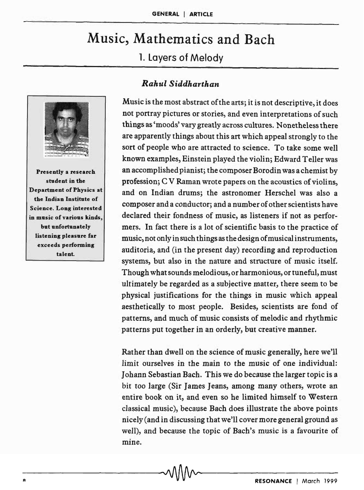## Music, Mathematics and Bach

1. Layers of Melody



Presently a research student in the Department of Physics at the Indian Institute of Science. Long interested in music of various kinds, but unfortunately listening pleasure far exceeds performing talent.

## *Rahul Siddharthan*

Music is the most abstract of the arts; it is not descriptive, it does not portray pictures or stories, and even interpretations of such things as 'moods' vary greatly across cultures. Nonetheless there are apparently things about this art which appeal strongly to the sort of people who are attracted to science. To take some well known examples, Einstein played the violin; Edward Teller was an accomplished pianist; the composer Borodin was a chemist by profession; C V Raman wrote papers on the acoustics of violins, and on Indian drums; the astronomer Herschel was also a composer and a conductor; and a number of other scientists have declared their fondness of music, as listeners if not as performers. In fact there is a lot of scientific basis to the practice of music, not only in such things as the design of musical instruments, auditoria, and (in the present day) recording and reproduction systems, but also in the nature and structure of music itself. Though what sounds melodious, or harmonious, or tuneful, must ultimately be regarded as a subjective matter, there seem to be physical justifications for the things in music which appeal aesthetically to most people. Besides, scientists are fond of patterns, and much of music consists of melodic and rhythmic patterns put together in an orderly, but creative manner.

Rather than dwell on the science of music generally, here we'll limit ourselves in the main to the music of one individual: Johann Sebastian Bach. This we do because the larger topic is a bit too large (Sir James Jeans, among many others, wrote an entire book on it, and even so he limited himself to Western classical music), because Bach does illustrate the above points nicely (and in discussing that we'll cover more general ground as well), and because the topic of Bach's music is a favourite of mine.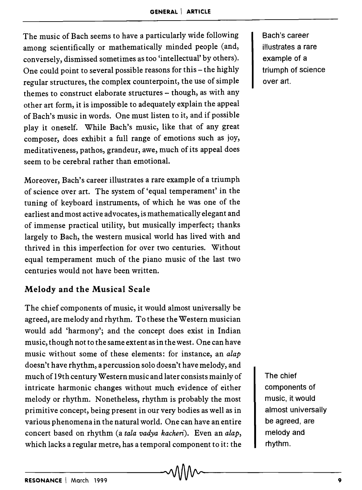The music of Bach seems to have a particularly wide following among scientifically or mathematically minded people (and, conversely, dismissed sometimes as too 'intellectual' by others). One could point to several possible reasons for this - the highly regular structures, the complex counterpoint, the use of simple themes to construct elaborate structures - though, as with any other art form, it is impossible to adequately explain the appeal of Bach's music in words. One must listen to it, and if possible play it oneself. While Bach's music, like that of any great composer, does exhibit a full range of emotions such as joy, meditativeness, pathos, grandeur, awe, much of its appeal does seem to be cerebral rather than emotional.

Moreover, Bach's career illustrates a rare example of a triumph of science over art. The system of 'equal temperament' in the tuning of keyboard instruments, of which he was one of the earliest and most active advocates, is mathematically elegant and of immense practical utility, but musically imperfect; thanks largely to Bach, the western musical world has lived with and thrived in this imperfection for over two centuries. Without equal temperament much of the piano music of the last two centuries would not have been written.

## **Melody and the Musical Scale**

The chief components of music, it would almost universally be agreed, are melody and rhythm. To these the Western musician would add 'harmony'; and the concept does exist in Indian music, though not to the same extent as in the west. One can have music without some of these elements: for instance, an *alap*  doesn't have rhythm, a percussion solo doesn't have melody, and much of 19th century Western music and later consists mainly of intricate harmonic changes without much evidence of either melody or rhythm. Nonetheless, rhythm is probably the most primitive concept, being present in our very bodies as well as in various phenomena in the natural world. One can have an entire concert based on rhythm (a *tala vadya kacheri).* Even an *alap,*  which lacks a regular metre, has a temporal component to it: the which lacks a regular metre, has a temporal component to it: the  $\blacksquare$  ringular.<br> $\bigwedge_{\text{max}} \bigwedge_{\text{max}} \bigwedge_{\text{max}} \bigwedge_{\text{max}} \bigwedge_{\text{max}} \bigwedge_{\text{max}} \bigwedge_{\text{max}} \bigwedge_{\text{max}} \bigwedge_{\text{max}} \bigwedge_{\text{max}} \bigwedge_{\text{max}} \bigwedge_{\text{max}} \bigwedge_{\text{max}} \bigwedge_{\text{$ 

Bach's career illustrates a rare example of a triumph of science over art.

The chief components of music, it would almost universally be agreed, are melody and rhythm.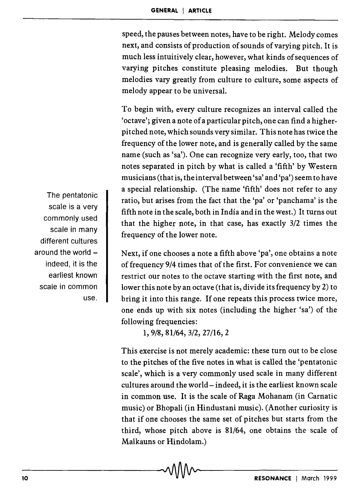speed, the pauses between notes, have to be right. Melody comes next, and consists of production of sounds of varying pitch. It is much less intuitively clear, however, what kinds of sequences of varying pitches constitute pleasing melodies. But though melodies vary greatly from culture to culture, some aspects of melody appear to be universal.

To begin with, every culture recognizes an interval called the 'octave'; given a note of a particular pitch, one can find a higherpitched note, which sounds very similar. This note has twice the frequency of the lower note, and is generally called by the same name (such as 'sa'). One can recognize very early, too, that two notes separated in pitch by what is called a 'fifth' by Western musicians (that is, the interval between 'sa' and 'pa') seem to have a special relationship. (The name 'fifth' does not refer to any ratio, but arises from the fact that the 'pa' or 'panchama' is the fifth note in the scale, both in India and in the west.) It turns out that the higher note, in that case, has exactly 3/2 times the frequency of the lower note.

Next, if one chooses a note a fifth above 'pa', one obtains a note of frequency 9/4 times that of the first. For convenience we can restrict our notes to the octave starting with the first note, and lower this note by an octave (that is, divide its frequency by 2) to bring it into this range. If one repeats this process twice more, one ends up with six notes (including the higher 'sa') of the following frequencies:

1,9/8,81/64,3/2,27/16,2

This exercise is not merely academic: these turn out to be close to the pitches of the five notes in what is called the 'pentatonic scale', which is a very commonly used scale in many different cultures around the world - indeed, it is the earliest known scale in common use. It is the scale of Raga Mohanam (in Carnatic music) or Bhopali (in Hindustani music). (Another curiosity is that if one chooses the same set of pitches but starts from the third, whose pitch above is 81/64, one obtains the scale of Malkauns or Hindolam.)

The pentatonic scale is a very commonly used scale in many different cultures around the world  $$ indeed, it is the earliest known scale in common use.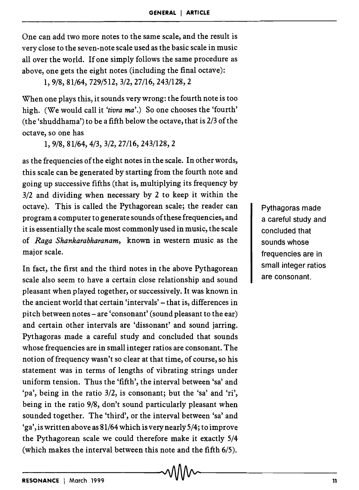One can add two more notes to the same scale, and the result is very close to the seven-note scale used as the basic scale in music all over the world. If one simply follows the same procedure as above, one gets the eight notes (including the final octave):

1, 9/8, 81/64, 729/512, 3/2,27/16, 243/128, 2

When one plays this, it sounds very wrong: the fourth note is too high. (We would call it 'tivra ma'.) So one chooses the 'fourth' (the 'shuddhama') to be a fifth below the octave, that is 2/3 of the octave, so one has

1, 9/8, 81/64,4/3, 3/2,27/16, 243/128, 2

as the frequencies of the eight notes in the scale. In other words, this scale can be generated by starting from the fourth note and going up successive fifths (that is, multiplying its frequency by 3/2 and dividing when necessary by 2 to keep it within the octave). This is called the Pythagorean scale; the reader can program a computer to generate sounds of these frequencies, and it is essentially the scale most commonly used in music, the scale of *Raga Shankarabharanam,* known in western music as the major scale.

In fact, the first and the third notes in the above Pythagorean scale also seem to have a certain close relationship and sound pleasant when played together, or successively. It was known in the ancient world that certain 'intervals' - that is, differences in pitch between notes - are 'consonant' (sound pleasant to the ear) and certain other intervals are 'dissonant' and sound jarring. Pythagoras made a careful study and concluded that sounds whose frequencies are in small integer ratios are consonant. The notion of frequency wasn't so clear at that time, of course, so his statement was in terms of lengths of vibrating strings under uniform tension. Thus the 'fifth', the interval between 'sa' and 'pa', being in the ratio 3/2, is consonant; but the 'sa' and 'ri', being in the ratio 9/8, don't sound particularly pleasant when sounded together. The 'third', or the interval between 'sa' and 'ga', is written above as 81/64 which is very nearly 5/4; to improve the Pythagorean scale we could therefore make it exactly 5/4 (which makes the interval between this note and the fifth 6/5).

Pythagoras made a careful study and concluded that sounds whose frequencies are in small integer ratios are consonant.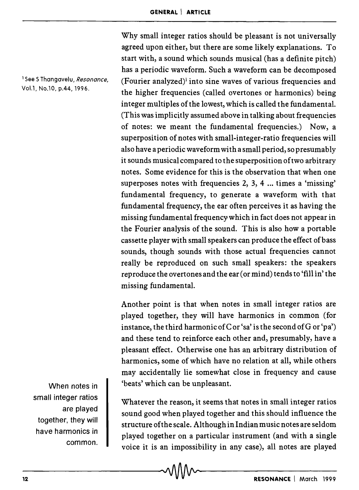1 See S Thangavelu, *Resonance,*  VoLl, No.10, p.44, 1996.

Why small integer ratios should be pleasant is not universally agreed upon either, but there are some likely explanations. To start with, a sound which sounds musical (has a definite pitch) has a periodic waveform. Such a waveform can be decomposed (Fourier analyzed)<sup>1</sup> into sine waves of various frequencies and the higher frequencies (called overtones or harmonics) being integer multiples of the lowest, which is called the fundamental. (This was implicitly assumed above in talking about frequencies of notes: we meant the fundamental frequencies.) Now, a superposition of notes with small-integer-ratio frequencies will also have a periodic waveform with a small period, so presumably it sounds musical compared to the superposition of two arbitrary notes. Some evidence for this is the observation that when one superposes notes with frequencies 2, 3, 4 ... times a 'missing' fundamental frequency, to generate a waveform with that fundamental frequency, the ear often perceives it as having the missing fundamental frequency which in fact does not appear in the Fourier analysis of the sound. This is also how a portable cassette player with small speakers can produce the effect ofbass sounds, though sounds with those actual frequencies cannot really be reproduced on such small speakers: the speakers reproduce the overtones and the ear (or mind) tends to 'fill in' the missing fundamental.

Another point is that when notes in small integer ratios are played together, they will have harmonics in common (for instance, the third harmonic of  $Cor$  'sa' is the second of  $G$  or 'pa') and these tend to reinforce each other and, presumably, have a pleasant effect. Otherwise one has an arbitrary distribution of harmonics, some of which have no relation at all, while others may accidentally lie somewhat close in frequency and cause 'beats' which can be unpleasant.

Whatever the reason, it seems that notes in small integer ratios sound good when played together and this should influence the structure of the scale. Although in Indian music notes are seldom played together on a particular instrument (and with a single voice it is an impossibility in any case), all notes are played

When notes in small integer ratios are played together, they will have harmonics in common.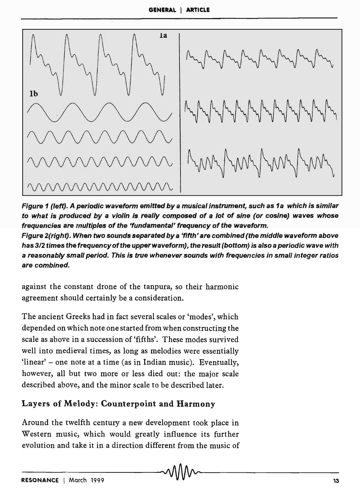

Figure 1 (left). A periodic waveform emitted by a musical instrument, such as 1a which is similar to what is produced by a violin is really composed of a lot of sine (or cosine) waves whose frequencies are multiples of the 'fundamental' frequency of the waveform. Figure 2(right). When two sounds separated by a 'fifth' are combined (the middle waveform above has 312 times the frequency of the upper waveform), the result (bottom) is also a periodic wave with a reasonably small period. This is true whenever sounds with frequencies in small integer ratios are combined.

against the constant drone of the tanpura, so their harmonic agreement should certainly be a consideration.

The ancient Greeks had in fact several scales or 'modes', which depended on which note one started from when constructing the scale as above in a succession of 'fifths'. These modes survived well into medieval times, as long as melodies were essentially 'linear' - one note at a time (as in Indian music). Eventually, however, all but two more or less died out: the major scale described above, and the minor scale to be described later.

## Layers of Melody: Counterpoint and Harmony

Around the twelfth century a new development took place in Western music, which would greatly influence its further evolution and take it in a direction different from the music of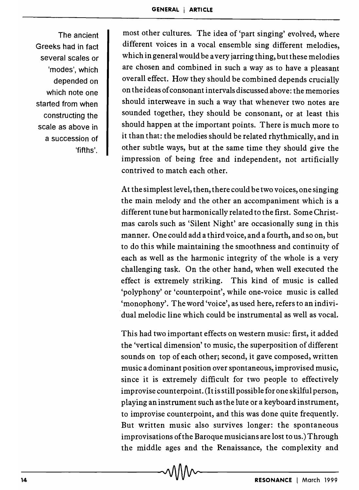The ancient Greeks had in fact several scales or 'modes', which depended on which note one started from when constructing the scale as above in a succession of 'fifths',

most other cultures. The idea of 'part singing' evolved, where different voices in a vocal ensemble sing different melodies, which in general would be a very jarring thing, but these melodies are chosen and combined in such a way as to have a pleasant overall effect. How they should be combined depends crucially on the ideas of consonant intervals discussed above: the memories should interweave in such a way that whenever two notes are sounded together, they should be consonant, or at least this should happen at the important points. There is much more to it than that: the melodies should be related rhythmically, and in other subtle ways, but at the same time they should give the impression of being free and independent, not artificially contrived to match each other.

At the simplest level, then, there could be two voices, one singing the main melody and the other an accompaniment which is a different tune but harmonically related to the first. Some Christmas carols such as 'Silent Night' are occasionally sung in this manner. One could add a third voice, and a fourth, and so on, but to do this while maintaining the smoothness and continuity of each as well as the harmonic integrity of the whole is a very challenging task. On the other hand, when well executed the effect is extremely striking. This kind of music is called 'polyphony' or 'counterpoint', while one-voice music is called 'monophony'. The word 'voice', as used here, refers to an indivi-. dual melodic line which could be instrumental as well as vocal.

This had two important effects on western music: first, it added the 'vertical dimension' to music, the superposition of different sounds on top of each other; second, it gave composed, written music a dominant position over spontaneous, improvised music, since it is extremely difficult for two people to effectively improvise counterpoint. (It is still possible for one skilful person, playing an instrument such as the lute or a keyboard instrument, to improvise counterpoint, and this was done quite frequently. But written music also survives longer: the spontaneous improvisations of the Baroque musicians are lost to us.) Through the middle ages and the Renaissance, the complexity and